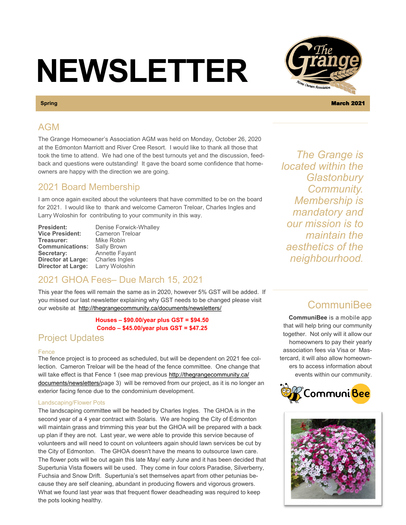# **NEWSLETTER**

## AGM

The Grange Homeowner's Association AGM was held on Monday, October 26, 2020 at the Edmonton Marriott and River Cree Resort. I would like to thank all those that took the time to attend. We had one of the best turnouts yet and the discussion, feedback and questions were outstanding! It gave the board some confidence that homeowners are happy with the direction we are going.

## 2021 Board Membership

I am once again excited about the volunteers that have committed to be on the board for 2021. I would like to thank and welcome Cameron Treloar, Charles Ingles and Larry Woloshin for contributing to your community in this way.

**Treasurer: Communications:** Sally Brown **Secretary:** Annette Fayant<br>**Director at Large:** Charles Ingles **Director at Large:** Charles Ingles<br>**Director at Large:** Larry Woloshin **Director at Large:** 

**President:** Denise Forwick-Whalley<br>**Vice President:** Cameron Treloar **Cameron Treloar**<br>Mike Robin

## 2021 GHOA Fees– Due March 15, 2021

This year the fees will remain the same as in 2020, however 5% GST will be added. If you missed our last newsletter explaining why GST needs to be changed please visit our website at <http://thegrangecommunity.ca/documents/newsletters/>

> **Houses – \$90.00/year plus GST = \$94.50 Condo – \$45.00/year plus GST = \$47.25**

## Project Updates

#### Fence

The fence project is to proceed as scheduled, but will be dependent on 2021 fee collection. Cameron Treloar will be the head of the fence committee. One change that will take effect is that Fence 1 (see map previous [http://thegrangecommunity.ca/](http://thegrangecommunity.ca/documents/newsletters/) [documents/newsletters/p](http://thegrangecommunity.ca/documents/newsletters/)age 3) will be removed from our project, as it is no longer an exterior facing fence due to the condominium development.

#### Landscaping/Flower Pots

The landscaping committee will be headed by Charles Ingles. The GHOA is in the second year of a 4 year contract with Solaris. We are hoping the City of Edmonton will maintain grass and trimming this year but the GHOA will be prepared with a back up plan if they are not. Last year, we were able to provide this service because of volunteers and will need to count on volunteers again should lawn services be cut by the City of Edmonton. The GHOA doesn't have the means to outsource lawn care. The flower pots will be out again this late May/ early June and it has been decided that Supertunia Vista flowers will be used. They come in four colors Paradise, Silverberry, Fuchsia and Snow Drift. Supertunia's set themselves apart from other petunias because they are self cleaning, abundant in producing flowers and vigorous growers. What we found last year was that frequent flower deadheading was required to keep the pots looking healthy.

*The Grange is located within the Glastonbury Community. Membership is mandatory and our mission is to maintain the aesthetics of the neighbourhood.* 

## **CommuniBee**

**CommuniBee** is a mobile app that will help bring our community together. Not only will it allow our homeowners to pay their yearly association fees via Visa or Mastercard, it will also allow homeowners to access information about events within our community.







**Spring** March 2021